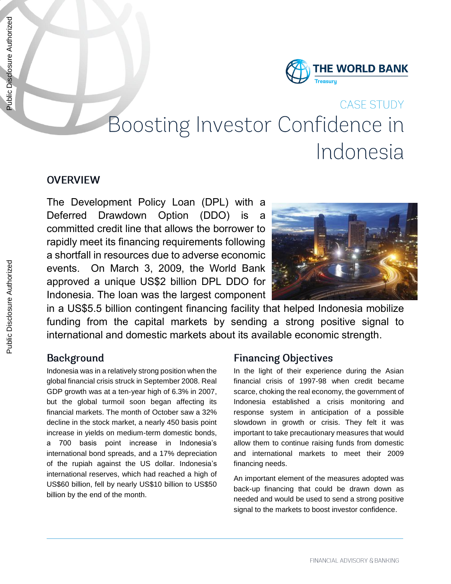

# **CASE STUDY** Boosting Investor Confidence in Indonesia

#### **OVERVIEW**

The Development Policy Loan (DPL) with a Deferred Drawdown Option (DDO) is a committed credit line that allows the borrower to rapidly meet its financing requirements following a shortfall in resources due to adverse economic events. On March 3, 2009, the World Bank approved a unique US\$2 billion DPL DDO for Indonesia. The loan was the largest component



in a US\$5.5 billion contingent financing facility that helped Indonesia mobilize funding from the capital markets by sending a strong positive signal to international and domestic markets about its available economic strength.

## **Background**

Indonesia was in a relatively strong position when the global financial crisis struck in September 2008. Real GDP growth was at a ten-year high of 6.3% in 2007, but the global turmoil soon began affecting its financial markets. The month of October saw a 32% decline in the stock market, a nearly 450 basis point increase in yields on medium-term domestic bonds, a 700 basis point increase in Indonesia's international bond spreads, and a 17% depreciation of the rupiah against the US dollar. Indonesia's international reserves, which had reached a high of US\$60 billion, fell by nearly US\$10 billion to US\$50 billion by the end of the month.

## **Financing Objectives**

In the light of their experience during the Asian financial crisis of 1997-98 when credit became scarce, choking the real economy, the government of Indonesia established a crisis monitoring and response system in anticipation of a possible slowdown in growth or crisis. They felt it was important to take precautionary measures that would allow them to continue raising funds from domestic and international markets to meet their 2009 financing needs.

An important element of the measures adopted was back-up financing that could be drawn down as needed and would be used to send a strong positive signal to the markets to boost investor confidence.

Public Disclosure Authorized

Public Disclosure Authorized